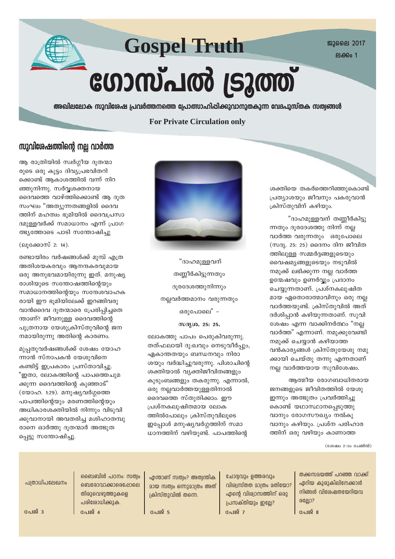**Gospel Truth** ഗോസ്പൽ ട്രൂത്ത്

അഖിലലോക സുവിശേഷ പ്രവർത്തനത്തെ പ്രോത്സാഹിപ്പിക്കുവാനുതകുന്ന വേദപുസ്തക സത്വങ്ങൾ

**For Private Circulation only** 

## സുവിശേഷത്തിന്റെ നല്ല വാർത്ത

ആ രാത്രിയിൽ സ്വർഗ്ഗീയ ദൂതന്മാ രുടെ ഒരു കൂട്ടം ദിവ്യപ്രഭവിതറി ക്കൊണ്ട് ആകാശത്തിൽ വന്ന് നിറ ഞ്ഞുനിന്നു. സർവ്വശക്തനായ ദൈവത്തെ വാഴ്ത്തിക്കൊണ്ട് ആ ദുത സംഘം "അത്യുന്നതങ്ങളിൽ ദൈവ ത്തിന് മഹത്വം ഭൂമിയിൽ ദൈവപ്രസാ ദമുള്ളവർക്ക് സമാധാനം എന്ന് പ്രാഗ ത്ഭ്യത്തോടെ പാടി സന്തോഷിച്ചു

#### (ലുക്കോസ് 2: 14).

രണ്ടായിരം വർഷങ്ങൾക്ക് മുമ്പ് എത്ര അതിശയകരവും ആനന്ദകരവുമായ ഒരു അനുഭവമായിരുന്നു ഇത്. മനുഷ്യ രാശിയുടെ സന്തോഷത്തിന്റെയും സമാധാനത്തിന്റെയും സന്ദേശവാഹക രായി ഈ ഭൂമിയിലേക്ക് ഇറങ്ങിവരു വാൻദൈവ ദൂതന്മാരെ പ്രേരിപ്പിച്ചതെ ന്താണ്? ജീവനുള്ള ദൈവത്തിന്റെ പുത്രനായ യേശുക്രിസ്തുവിന്റെ ജന നമായിരുന്നു അതിന്റെ കാരണം.

മുപ്പതുവർഷങ്ങൾക്ക് ശേഷം യോഹ ന്നാൻ സ്നാപകൻ യേശുവിനെ കണ്ടിട്ട് ഇപ്രകാരം പ്രസ്താവിച്ചു. "ഇതാ, ലോകത്തിന്റെ പാപത്തെചുമ ക്കുന്ന ദൈവത്തിന്റെ കുഞ്ഞാട്" (യോഹ. 1:29). മനുഷ്യവർഗ്ഗത്തെ പാപത്തിന്റെയും മരണത്തിന്റെയും അധികാരശക്തിയിൽ നിന്നും വിടുവി ക്കുവാനായി അവതരിച്ച മശിഹാതമ്പു രാനെ ഓർത്തു ദുതന്മാർ അത്ഭുത പ്പെട്ടു സന്തോഷിച്ചു.



"ദാഹമുള്ളവന് തണ്ണീർകിട്ടുന്നതും ദൂരദേശത്തുനിന്നും നല്ലവർത്തമാനം വരുന്നതും ഒരുപോലെ" -**M3100. 25: 25.** 

ലോകത്തു പാപം പെരുകിവരുന്നു. തത്ഫലായി ദു:ഖവും നെടുവീർപ്പും, ഏകാന്തതയും ബന്ധനവും നിരാ ശയും വർദ്ധിച്ചുവരുന്നു. പിശാചിന്റെ ശക്തിയാൽ വ്യക്തിജീവിതങ്ങളും കുടുംബങ്ങളും തകരുന്നു. എന്നാൽ, ഒരു നലവാർത്തയുള്ളതിനാൽ ദൈവത്തെ സ്തുതിക്കാം. ഈ പ്രശ്നകലുഷിതമായ ലോക ത്തിൽപോലും ക്രിസ്തുവിലൂടെ ഇപ്പോൾ മനുഷ്യവർഗ്ഗത്തിന് സമാ ധാനത്തിന് വഴിയുണ്ട്. പാപത്തിന്റെ

ശക്തിയെ തകർത്തെറിഞ്ഞുകൊണ്ട് പ്രത്യാശയും ജീവനും പകരുവാൻ ക്രിസ്തുവിന് കഴിയും.

"ദാഹമുള്ളവന് തണ്ണീർകിട്ടു ന്നതും ദൂരദേശത്തു നിന്ന് നല്ല വാർത്ത വരുന്നതും ഒരുപോലെ (സദൃ. 25: 25) ദൈനം ദിന ജീവിത ത്തിലുള്ള സമ്മർദ്ദങ്ങളുടെയും വൈഷമ്യങ്ങളുടെയും നടുവിൽ നമുക്ക് ലഭിക്കുന്ന നല്ല വാർത്ത ഉന്മേഷവും ഉണർവ്വും പ്രദാനം ചെയ്യുന്നതാണ്. പ്രശ്നകലുഷിത മായ ഏതൊരാത്മാവിനും ഒരു നല്ല വാർത്തയുണ്ട്. ക്രിസ്തുവിൽ അത് ദർശിപ്പാൻ കഴിയുന്നതാണ്. സൂവി ശേഷം എന്ന വാക്കിനർത്ഥം "നല്ല വാർത്ത" എന്നാണ്. നമുക്കുവേണ്ടി നമുക്ക് ചെയ്യാൻ കഴിയാത്ത വൻകാര്യങ്ങൾ ക്രിസ്തുയേശു നമു ക്കായി ചെയ്തു തന്നു എന്നതാണ് നല്ല വാർത്തയായ സുവിശേഷം.

അത്മീയ രോഗബാധിതരായ ജനങ്ങളുടെ ജീവിതത്തിൽ യേശു ഇന്നും അത്ഭുതം പ്രവർത്തിച്ചു കൊണ്ട് യഥാസ്ഥാനപ്പെടുത്തു വാനും രോഗസൗഖ്യം നൽകു വാനും കഴിയും. പ്രശ്ന പരിഹാര ത്തിന് ഒരു വഴിയും കാണാത്ത

(ശേഷം 2-ാം പേജിൽ)

പത്രാധിപലേഖനം

പേജ് 3

തിരുവെഴുത്തുകളെ പരിശോധിക്കുക. പേജ് 4

ബൈബിൾ പഠനം: സത്വം

ഩഩരോവാക്കാരെഷോലെ

ഹ്മന്താണ് സത്വം? അത്വന്തിക മായ സത്വം ഒന്നുമാത്രം അത് ക്രിസ്തുവിൽ തന്നെ

പേജ് 5

ചോദ്വവും ഉത്തരവും വിശ്വസ്തത മാത്രം മതിയോ? എന്റെ വിശ്വാസത്തിന് ഒരു പ്രസക്തിയും ഇല്ലേ? പേജ് 7

തക്കസമയത്ത് പറഞ്ഞ വാക്ക്: ഏറിയ കുരുകിലിനേക്കാൾ നിങ്ങൾ വിശേഷതയേറിയവ രലോ?

പേജ് 8

ജൂലൈ 2017 **ലക്കം** 1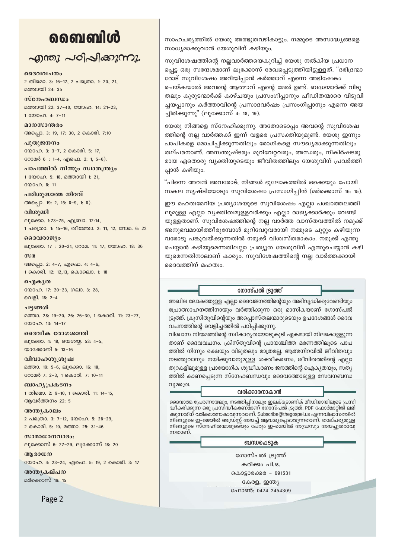# வைவிൾ

## എന്തു പഠിപ്പിക്കുന്നു.

 $9930011100$ 2 തിമൊ. 3: 16-17, 2 പത്രൊ. 1: 20, 21, മത്തായി 24: 35

സ്നേഹബന്ധം മത്തായി 22: 37-40, യോഹ. 14: 21-23, 1 0000 0.4: 7-11

മാനസാന്തരം അപ്പൊ. 3: 19, 17: 30, 2 കൊരി. 7:10

പ്പതുജനനം യോഹ. 3: 3-7, 2 കൊരി. 5: 17, റോമർ 6 : 1-4, എഫെ. 2: 1, 5-6).

പാപത്തിൽ നിന്നും സ്വാതന്ത്ര്യം 1 യോഹ. 5: 18, മത്തായി 1: 21, യോഹ. 8: 11

പരിശുദ്ധാത്മ നിറവ് അപ്പൊ. 19: 2, 15: 8-9, 1: 8).

വിശുദ്ധി ലൂക്കോ. 1:73-75, എബ്രാ. 12:14, 1 പത്രൊ. 1: 15-16, തീത്തോ. 2: 11, 12, റോമ. 6: 22

ദൈവരാജ്യം ലൂക്കോ. 17: 20-21, റോമ. 14: 17, യോഹ. 18: 36

 $m$ ) $\epsilon$ അപ്പൊ. 2: 4-7, എഫെ. 4: 4-6, 1 കൊരി. 12: 12,13, കൊലൊ. 1: 18

ഐകൃത യോഹ. 17: 20-23, ഗലാ. 3: 28, വെളി. 18: 2-4

ചട്ടങ്ങൾ മത്താ. 28: 19-20, 26: 26-30, 1 കൊരി. 11: 23-27, യോഹ. 13: 14-17

ദൈവീക രോഗശാന്തി ലൂക്കോ. 4: 18, യെശയ. 53: 4-5. യാക്കോബ് 5: 13-16

വിവാഹശുശ്രൂഷ മത്താ. 19: 5-6, ലുക്കോ. 16: 18, റോമർ 7: 2-3, 1 കൊരി. 7: 10-11

ബാഹ്യപ്രകടനം 1 തിമൊ. 2: 9-10, 1 കൊരി. 11: 14-15, ആവർത്തനം 22: 5

അന്ത്യകാലം 2 പത്രൊ. 3: 7-12, യോഹ. 5: 28-29, 2 കൊരി. 5: 10, മത്താ. 25: 31-46

സാമാധാനവാദം: ലൂക്കോസ് 6: 27–29, ലൂക്കോസ് 18: 20

ആരാധന യോഹ. 4: 23-24, ഹാഫ. 5: 19, 2 കൊരി. 3: 17

അന്ത്യകല്പന മർക്കൊസ് 16: 15

Page 2

സാഹചര്യത്തിൽ യേശു അത്ഭുതവഴികാട്ടും. നമ്മുടെ അസാദ്ധ്യങ്ങളെ സാധ്യമാക്കുവാൻ യേശുവിന് കഴിയും.

സുവിശേഷത്തിന്റെ നല്ലവാർത്തയെകുറിച്ച് യേശു നൽകിയ പ്രധാന പ്പെട്ട ഒരു സന്ദേശമാണ് ലുക്കോസ് രേഖപ്പെടുത്തിയിട്ടുള്ളത്. "ദരിദ്രന്മാ രോട് സുവിശേഷം അറിയിപ്പാൻ കർത്താവ് എന്നെ അഭിഷേകം ചെയ്കയാൽ അവന്റെ ആത്മാവ് എന്റെ മേൽ ഉണ്ട്. ബദ്ധന്മാർക്ക് വിടു തലും കുരുടന്മാർക്ക് കാഴ്ചയും പ്രസംഗിപ്പാനും പീഡിതന്മാരെ വിടുവി ച്ചയപ്പാനും കർത്താവിന്റെ പ്രസാദവർഷം പ്രസംഗിപ്പാനും എന്നെ അയ ച്ചിരിക്കുന്നു" (ലുക്കോസ് 4: 18, 19).

യേശു നിങ്ങളെ സ്നേഹിക്കുന്നു. അതോടൊപ്പം അവന്റെ സുവിശേഷ ത്തിന്റെ നല്ല വാർത്തക്ക് ഇന്ന് വളരെ പ്രസക്തിയുമുണ്ട്. യേശു ഇന്നും പാപികളെ മോചിപ്പിക്കുന്നതിലും രോഗികളെ സൗഖ്യമാക്കുന്നതിലും തല്പരനാണ്. അസന്തുഷ്ടരും മുറിവേറ്റവരും, അന്ധരും, നികിർഷടരു മായ ഏതൊരു വ്യക്തിയുടെയും ജീവിതത്തിലും യേശുവിന് പ്രവർത്തി പ്പാൻ കഴിയും.

"പിന്നെ അവൻ അവരോട്; നിങ്ങൾ ഭൂലോകത്തിൽ ഒക്കെയും പോയി സകല സൃഷ്ടിയോടും സുവിശേഷം പ്രസംഗിപ്പീൻ (മർക്കൊസ് 16: 15).

ഈ മഹത്വമേറിയ പ്രത്യാശയുടെ സുവിശേഷം എല്ലാ പശ്ചാത്തലത്തി ലുമുള്ള എല്ലാ വ്യക്തിത്വമുള്ളവർക്കും എല്ലാ രാജ്യക്കാർക്കും വേണ്ടി യുള്ളതാണ്. സുവിശേഷത്തിന്റെ നല്ല വാർത്ത വാസ്തവത്തിൽ നമുക്ക് അനുഭവമായിത്തീരുമ്പോൾ മുറിവേറ്റവരായി നമ്മുടെ ചുറ്റും കഴിയുന്ന വരോടു പങ്കുവയ്ക്കുന്നതിൽ നമുക്ക് വിശ്വസ്തരാകാം. നമുക്ക് എന്തു ചെയ്യാൻ കഴിയുമെന്നതിലല്ലാ പ്രത്യുത യേശുവിന് എന്തുചെയ്യാൻ കഴി യുമെന്നതിനാലാണ് കാര്യം. സുവിശേഷത്തിന്റെ നല്ല വാർത്തക്കായി ദൈവത്തിന് മഹത്വം.

ഗോസ്പൽ ട്രൂത്ത്

അഖില ലോകത്തുള്ള എല്ലാ ദൈവജനത്തിന്റെയും അഭിവൃദ്ധിക്കുവേണ്ടിയും പ്രോത്സാഹനത്തിനായും വർത്തിക്കുന്ന ഒരു മാസികയാണ് ഗോസ്പൽ ട്രൂത്ത്. ക്രുസിതുവിന്റെയും അപ്പൊസ്തലന്മാരുടെയും ഉപദേശങ്ങൾ ദൈവ വചനത്തിന്റെ വെളിച്ചത്തിൽ പഠിപ്പിക്കുന്നു.

വിശ്വാസ നിയമത്തിന്റെ സ്വീകാര്യതയോടുകൂടി ഏകമായി നിലകൊള്ളുന്ന താണ് ദൈവവചനം. ക്രിസ്തുവിന്റെ പ്രായശ്ചിത്ത മരണത്തിലൂടെ പാപ ത്തിൽ നിന്നും രക്ഷയും വിടുതലും മാത്രമല്ല, ആത്മനിറവിൽ ജീവിതവും നടത്തുവാനും നയിക്കുവാനുമുള്ള ശക്തീകരണം, ജീവിതത്തിന്റെ എല്ലാ തുറകളിലുമുള്ള പ്രായോഗിക ശുദ്ധീകരണം ജനത്തിന്റെ ഐക്യതയും, സത്യ ത്തിൽ കാണപ്പെടുന്ന സ്നേഹബന്ധവും ദൈവത്തോടുള്ള സേവനബന്ധ വുമക്രെ.

വരിക്കാരനാകാൻ

ദൈവാത്മ പ്രേരണായലും, നടത്തിപ്പിനാലും ഇലക്ട്രോണിക് മീഡിയായിലൂടെ പ്രസി ദ്ധീകരിക്കുന്ന ഒരു പ്രസിദ്ധീകരണമാണ് ഗോസ്പൽ ട്രൂത്ത്. PDF ഫോർമാറ്റിൽ ലഭി ക്കുന്നതിന് വരിക്കാരനാകാവുന്നതാണ്. Subscribe@thegospel.us എന്നവിലാസത്തിൽ നിങ്ങളുടെ ഇ-മെയിൽ അഡ്രസ്സ് അയച്ച് ആവശ്യപ്പെടാവുന്നതാണ്. താല്പര്യമുള്ള നിങ്ങളുടെ സ്നേഹിതന്മാരുടെ്യും പേരും ഇ-മെയിൽ അഡ്രസും അയച്ചുതരാവു ന്നതാണ്.

ബന്ധപ്പെടുക

ഗോസ്പൽ ട്രുത്ത് കരിക്കം പി.ഒ. കൊട്ടാരക്കര - 691531 കേരള, ഇന്ത്യ ഫോൺ: 0474 2454309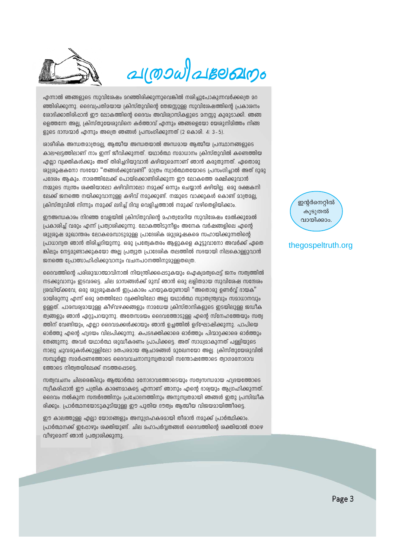

 $a(000\sqrt{21806200})$ 

എന്നാൽ ഞങ്ങളുടെ സുവിശേഷം മറഞ്ഞിരിക്കുന്നുവെങ്കിൽ നശിച്ചുപോകുന്നവർക്കത്രെ മറ ഞ്ഞിരിക്കുന്നു. ദൈവപ്രതിമയായ ക്രിസ്തുവിന്റെ തേജസ്സുള്ള സുവിശേഷത്തിന്റെ പ്രകാശനം രോഭിക്കാതിരിപ്പാൻ ഈ ലോകത്തിന്റെ ദൈവം അവിശ്വാസികളുടെ മനസു കുരുടാക്കി. ഞങ്ങ ളെത്തന്നേ അല്ല, ക്രിസ്തുയേശുവിനെ കർത്താവ് എന്നും ഞങ്ങളെയോ യേശുനിമിത്തം നിങ്ങ ളുടെ ദാസന്മാർ എന്നും അത്രെ ഞങ്ങൾ പ്രസംഗിക്കുന്നത് (2 കൊരി. 4: 3-5).

ശാരീരിക അന്ധതമാത്രമല്ല, ആത്മീയ അന്ധതയാൽ അന്ധമായ ആത്മീയ പ്രസ്ഥാനങ്ങളുടെ കാലഘട്ടത്തിലാണ് നാം ഇന്ന് ജീവിക്കുന്നത്. യഥാർത്ഥ സമാധാനം ക്രിസ്തുവിൽ കണ്ടെത്തിയ എല്ലാ വ്വക്തികൾക്കും അത് തിരിച്ചറിയുവാൻ കഴിയുമെന്നാണ് ഞാൻ കരുതുന്നത്. ഏതൊരു ശുശ്രൂഷകനോ സഭയോ "തങ്ങൾക്കുവേണ്ടി" മാത്രം സ്വാർത്ഥതയോടെ പ്രസംഗിച്ചാൽ അത് ദുരു പദേശം ആകും. നാശത്തിലേക്ക് പൊയ്ക്കൊണ്ടിരിക്കുന്ന ഈ ലോകത്തെ രക്ഷിക്കുവാൻ നമ്മുടെ സ്വന്തം ശക്തിയാലോ കഴിവിനാലോ നമുക്ക് ഒന്നും ചെയ്യാൻ കഴിയില്ല. ഒരു രക്ഷകനി ലേക്ക് ജനത്തെ നയിക്കുവാനുള്ള കഴിവ് നമുക്കുണ്ട്. നമ്മുടെ വാക്കുകൾ കൊണ്ട് മാത്രമല്ല ക്രിസ്തുവിൽ നിന്നും നമുക്ക് ലഭിച്ച് ദിവ്വ വെളിച്ചത്താൽ നമുക്ക് വഴിതെളിയിക്കാം.

ഈഅന്ധകാരം നിറഞ്ഞ വേളയിൽ ക്രിസ്താവിന്റെ മഹത്വമേറിയ സാവിശേഷം മേൽക്കാമേൽ പ്രകാശിച്ച് വരും എന്ന് പ്രത്വാശിക്കുന്നു. ലോകത്തിടുനീളം അനേക വർഷങ്ങളിലെ എന്റെ ശുശ്രൂഷ മുഖാന്തരം ലോകമെമ്പാടുമുള്ള പ്രാദേശിക ശുശ്രൂഷകരെ സഹായിക്കുന്നതിന്റെ പ്രാധാന്വത ഞാൻ തിരിച്ചറിയുന്നു. ഒരു പ്രത്യേകതരം ആളുകളെ കൂട്ടുവാനോ അവർക്ക് ഏതെ ങ്കിലും നേട്ടമുണ്ടാക്കുകയോ അല്ല പ്രത്വുത പ്രാദേശിക തലത്തിൽ സഭയായി നിലകൊള്ളുവാൻ ജനത്തെ പ്രോത്സാഹിപ്പിക്കുവാനും വചനപഠനത്തിനുമുള്ളതത്രെ.

ദൈവത്തിന്റെ പരിശുദ്ധാത്മാവിനാൽ നിയന്ത്രിക്കപ്പെടുകയും ഐക്വമത്വപ്പെട്ട് ജനം സത്വത്തിൽ നടക്കുവാനും ഇടവരട്ടെ. ചില മാസങ്ങൾക്ക് മുമ്പ് ഞാൻ ഒരു ലളിതമായ സുവിശേഷ സന്ദേശം ശ്രദ്ധിയ്ക്കവേ, ഒരു ശുശ്രൂഷകൻ ഇപ്രകാരം പറയുകയുണ്ടായി "അതൊരു ഉണർവ്വ് ദായക" മായിരുന്നു എന്ന് ഒരു മതത്തിലോ വ്വക്തിയിലോ അല്ല യഥാർത്ഥ സ്വാതന്ത്ര്വവും സമാധാനവും ഉള്ളത്. പാരമ്പര്വമായുള്ള കീഴ്വഴക്കങ്ങളും നാമധേയ ക്രിസ്താനികളുടെ ഇടയിലുള്ള ജഡീക ത്വങ്ങളും ഞാൻ ഏറ്റുപറയുന്നു. അതേസമയം ദൈവത്തോടുള്ള എന്റെ സ്നേഹത്തേയും സത്വ ത്തിന് വേണ്ടിയും, എല്ലാ ദൈവമക്കൾക്കായും ഞാൻ ഉച്ചത്തിൽ ഉദ്ഘോഷിക്കുന്നു. പാപിയെ ഓർത്തു എന്റെ ഹ്വദയം വിലപിക്കുന്നു. കപടഭക്തിക്കാരെ ഓർത്തും പിന്മാറ്റക്കാരെ ഓർത്തും തേങ്ങുന്നു. അവർ യഥാർത്ഥ ശുദ്ധീകരണം പ്രാപിക്കട്ടെ. അത് സാധ്വമാകുന്നത് പള്ളിയുടെ നാലു ചുവരുകൾക്കുള്ളിലോ മതപരമായ ആചാരങ്ങൾ മുഖേനയോ അല്ല. ക്രിസ്തുയേശുവിൽ സമ്പൂർണ്ണ സമർഷണത്തോടെ ദൈവവചനാനുസ്വതമായി സന്തോഷത്തോടെ ത്വാഗമനോഭാവ ത്തോടെ നിത്വതയിലേക്ക് നടത്തപ്പെടടെ.

സത്വവചനം ചിലരെങ്കിലും ആത്മാർത്ഥ മനോഭാവത്തോടെയും സത്വസന്ധമായ ഹ്വദയത്തോടെ സ്വീകരിപ്പാൻ ഈ പത്രിക കാരണമാകട്ടെ എന്നാണ് ഞാനും എന്റെ ഭാര്യയും ആഗ്രഹിക്കുന്നത്. ദൈവം നൽകുന്ന സന്ദർഭത്തിനും പ്രചോദനത്തിനും അനുസ്വതമായി ഞങ്ങൾ ഇതു പ്രസിദ്ധീക രിക്കും. പ്രാർത്ഥനയോടുകൂടിയുള്ള ഈ പുതിയ ദൗത്വം ആത്മീയ വിജയമായിത്തീരട്ടെ.

ഈ കാലത്തുള്ള എലാ യോഗങ്ങളും അനുശ്രഹകരമായി തീരാൻ നമുക്ക് പ്രാർത്ഥിക്കാം. പ്രാർത്ഥനക്ക് ഇപ്പോഴും ശക്തിയുണ്ട്. ചില മഹാപർവ്വതങ്ങൾ ദൈവത്തിന്റെ ശക്തിയാൽ താഴെ വീഴുമെന്ന് ഞാൻ പ്രത്വാശിക്കുന്നു.



### thegospeltruth.org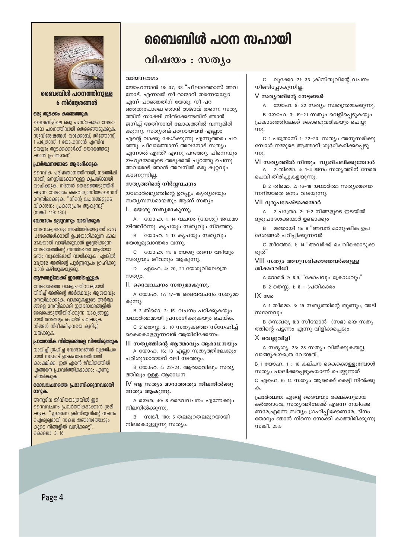

ബൈബിൾ പഠനത്തിനുള്ള 6 നിർദേശങ്ങൾ

#### ഒരു തുടക്കം കണ്ടെത്തുക

ബൈബിളിലെ ഒരു പുസ്തകമോ വേദദാ ഗമോ പഠനത്തിനായി തെരഞ്ഞെടുക്കുക. സുവിശേഷങ്ങൾ യാക്കോബ്, തീത്തോസ്, 1 പത്രോസ്, 1 യോഹന്നാൻ എന്നിവ യെല്ലാം തുടക്കക്കാർക്ക് തെരഞ്ഞെടു ക്കാൻ ഉചിതമാണ്.

#### പ്രാർത്ഥനയോടെ ആരംഭിക്കുക

ദൈവീക പരിജ്ഞാനത്തിനായി, നടത്തിപ്പി നായി, മനസ്സിലാക്കാനുള്ള ക്വപയ്ക്കായി യാചിക്കുക്. നിങ്ങൾ തെരഞ്ഞെടുത്തിരി ക്കുന്ന വേദദാഗം ദൈവശ്വാസീയമാണെന്ന് മനസ്സിലാക്കുക. "നിന്റെ വചനങ്ങളുടെ വികാരനം പ്രകാശപ്രദം ആകുന്നു' (സങ്കീ. 119: 130)

#### വേദഭാഗം മുഴുവനും വായിക്കുക

വേദവാക്വങ്ങളെ അടർത്തിയെടുത്ത് ദുരു പദേശങ്ങൾക്കായി ഉപയോഗിക്കുന്ന കാല **മാകയാൽ വായിക്കുവാൻ ഉദ്ദേശിക്കുന്ന** വേദദാഗത്തിന്റെ സന്ദർഭത്തെ ആദിയോ ടന്തം സൂക്ഷ്മമായി വായിക്കുക. എങ്കിൽ <u> മാത്രമേ അതിന്റെ പൂർണ്ണ</u>രൂപം ഗ്രഹിക്കു വാൻ കഴിയുകയുള്ളൂ

#### ആഴങ്ങളിലേക്ക് ഇറങ്ങിച്ചെല്ലുക

വേദദാഗത്തെ വാക്വപ്രതിവാക്വമായി തിരിച്ച് അതിന്റെ അർത്ഥവും ആശയവും മനസ്സിലാക്കുക. വാക്കുകളുടെ അർത്ഥ ങ്ങളെ മനസ്സിലാക്കി ഇതരദാഗഭങ്ങളിൽ രേഖപ്പെടുത്തിയിരിക്കുന്ന വാക്വങ്ങളു മായി താരതമ്യം ചെയ്ത് പഠിക്കുക. നിങ്ങൾ നിരീക്ഷിച്ചവയെ കുറിച്ച് വയ്ക്കുക.

#### പ്രായോഗിക നിർദ്ദേരങ്ങളെ വിലയിരുത്തുക

വായിച്ച് ഗ്രഹിച്ച വേദഭാഗങ്ങൾ വ്യക്തിപര മായി നമ്മോട് ഇടപെടേണ്ടതിനായി കാംക്ഷിക്ക. ഇത് എന്റെ ജീവിതത്തിൽ എങ്ങനെ പ്രാവർത്തികമാക്കാം എന്നു ചിന്തിക്കുക.

#### ദൈവവചനത്തെ പ്രമാണിക്കുന്നവരായി മാറുക.

അനുദിന ജീവിതയാത്രയിൽ ഈ ദൈവവചനം പ്രവർത്തികമാക്കാൻ ശ്രമി ക്കുക. "ഇങ്ങനെ ക്രിസ്തുവിന്റെ വചനം ഐശ്വര്വമായി സകല ജ്ഞാനത്തോടും കൂടെ നിങ്ങളിൽ വസിക്കടെ". <u>കൊലൊ.</u> 3: 16

# ബൈബിൾ പഠന സഹായി

## വിഷയം : സത്യം

#### വായനഭാഗം

യോഹന്നാൻ 18: 37, 38 "പീലാത്തോസ് അവ നോട്. എന്നാൽ നീ രാജാവ് തന്നെയല്ലോ എന്ന് പറഞ്ഞതിന് യേശു: നീ പറ ഞ്ഞതുപോലെ ഞാൻ രാജാവ് തന്നെ. സത്യ ത്തിന് സാക്ഷി നിൽക്കേണ്ടതിന് ഞാൻ ജനിച്ച് അതിനായി ലോകത്തിൽ വന്നുമിരി ക്കുന്നു. സതൃതല്പരനായവൻ എല്ലാം എന്റെ വാക്കു കേൾക്കുന്നു എന്നുത്തരം പറ ഞ്ഞു. പീലാത്തോസ് അവനോട് സത്യം എന്നാൽ എന്ത്? എന്നു പറഞ്ഞു. പിന്നെയും യഹുദന്മാരുടെ അടുക്കൽ പുറത്തു ചെന്നു അവരോട് ഞാൻ അവനിൽ ഒരു കുറ്റവും കാണുന്നില്ല

#### സതൃത്തിന്റെ നിർവ്വവചനം

യാഥാർത്ഥ്യത്തിന്റെ ഉറപ്പും കൃതൃതയും സതൃസന്ധമായതും ആണ് സത്യം

l. യേശു സത്യമാകുന്നു.

A. യോഹ. 1: 14 വചനം (യേശു) ജഡമാ യിത്തീർന്നു. കൃപയും സത്യവും നിറഞ്ഞു.

B യോഹ. 1: 17 കൃപയും സതൃവും യേശുമുഖാന്തരം വന്നു.

C യോഹ. 14: 6 യേശു തന്നെ വഴിയും സത്യവും ജീവനും ആകുന്നു.

D എഫേ. 4: 20, 21 യേശുവിലെത്രെ സത്യം.

#### II. ദൈവവചനം സത്യമാകുന്നു.

A യോഹ. 17: 17-19 ദൈവവചനം സതൃമാ കുന്നു.

B 2 തിമൊ. 2: 15. വചനം പഠിക്കുകയും യഥാർത്ഥമായി പ്രസംഗിക്കുകയും ചെയ്ക.

C 2 തെസ്സ. 2: 10 സത്യകത്തെ സ്നേഹിച്ച് കൈകൊള്ളുന്നവൻ ആയിരിക്കേണം.

#### III സതൃത്തിന്റെ ആത്മാവും ആരാധനയും

A യോഹ. 16: 13 എല്ലാ സതൃത്തിലേക്കും പരിശുദ്ധാത്മാവ് വഴി നടത്തും.

B യോഹ. 4: 22-24. ആത്മാവിലും സത്യ ത്തിലും ഉള്ള ആരാധന.

IV ആ സത്യം മാറാത്തതും നിലനിൽക്കു ന്നതും ആകുന്നു.

A യെശ. 40: 8 ദൈവവചനം എന്നേക്കും നിലനിൽക്കുന്നു.

B സങ്കീ. 100: 5 തലമുറതലമുറയായി നിലകൊള്ളുന്നു സത്യം.

ലൂക്കോ. 21: 33 ക്രിസ്തുവിന്റെ വചനം നീങ്ങിപ്പോകുന്നില്ല.

#### $V$  സത്യത്തിന്റെ നേട്ടങ്ങൾ

A യോഹ. 8: 32 സത്യം സ്വതന്ത്രമാക്കുന്നു.

B യോഹ. 3: 19-21 സത്യം വെളിപ്പെടുകയും പ്രകാശത്തിലേക്ക് കൊണ്ടുവരികയും ചെയ്യു m

C 1 പത്രോസ് 1: 22-23. സത്യം അനുസരിക്കു മ്പോൾ നമ്മുടെ അത്മാവ് ശുദ്ധീകരിക്കപെടു m.

VI സതൃത്തിൽ നിന്നും വൃതിചലിക്കുമ്പോൾ A 2 തിമൊ. 4: 1-4 ജനം സത്യത്തിന് നേരെ ചെവി തിരിച്ചുകളയുന്നു.

B 2 തിമൊ. 2: 16-18 യഥാർത്ഥ സത്യമെന്തെ ന്നറിയാതെ ജനം വലയുന്നു.

#### VII ദുരുപദേഷ്ടാക്കന്മാർ

A 2 പത്രോ. 2: 1-2 നിങ്ങളുടെ ഇടയിൽ ദുരുപദേശക്കന്മാർ ഉണ്ടാക്കും

B മത്തായി 15: 9 "അവൻ മാനുഷീക ഉപ ദേശങ്ങൾ പഠിപ്പിക്കുന്നവർ

C തീത്തോ. 1: 14 "അവർക്ക് ചെവിക്കൊടുക്ക രുത്

#### VIII സത്യം അനുസരിക്കാത്തവർക്കുള്ള രിക്ഷാവിധി

A റോമർ 2: 8,9, "കോപവും ക്രോധവും"

B 2 തെസ്സ. 1: 8 - പ്രതികാരം

#### $IX$  me

A 1 തീമൊ. 3: 15 സത്യത്തിന്റെ തുണും, അടി സ്ഥാനവും

B സെഖര്യ 8:3 സീയോൻ  $(mg)$  യെ സത്യ ത്തിന്റെ പട്ടണം എന്നു വിളിക്കപ്പെടും

#### X വെല്ലുവിളി

A സദൃശ്യ. 23: 28 സത്യം വിൽക്കുകയല്ല, വാങ്ങുകയത്രെ വേണ്ടത്.

B 1 യോഹ. 1 : 16 കല്പന കൈകൊള്ളുമ്പോൾ സത്യം പാലിക്കപ്പെടുകയാണ് ചെയ്യുന്നത്

C എഫെ. 6: 14 സത്യം ആരെക്ക് കെട്ടി നിൽക്കു  $\bigoplus$ 

പ്രാർത്ഥന; എന്റെ ദൈവവും രക്ഷകനുമായ കർത്താവേ, സത്യത്തിലേക്ക് എന്നെ നയിക്കേ ണമേ,എന്നെ സത്യം ഗ്രഹിപ്പിക്കേണമേ, ദിനം തോറും ഞാൻ നിന്നെ നോക്കി കാത്തിരിക്കുന്നു സങ്കീ. 25:5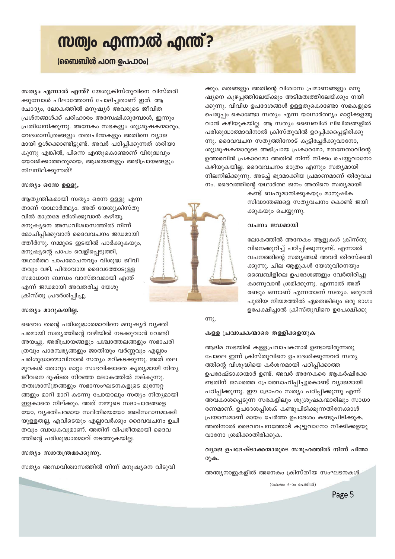# സത്വം എന്നാൽ എന്ത്?

#### (ബൈബിൾ പഠന ഉപപാഠം)

സത്യം എന്നാൽ എന്ത്? യേശുക്രിസ്തുവിനെ വിസ്തരി ക്കുമ്പോൾ പീലാത്തോസ് ചോദിച്ചതാണ് ഇത്. ആ ചോദ്യം, ലോകത്തിൽ മനുഷ്യർ അവരുടെ ജീവിത പ്രശ്നങ്ങൾക്ക് പരിഹാരം അന്വേഷിക്കുമ്പോൾ, ഇന്നും പ്രതിധ്വനിക്കുന്നു. അനേകം സഭകളും ശുശ്രൂഷകന്മാരും, വേദശാസ്ത്രങ്ങളും തത്വചിന്തകളും അതിനെ വ്യാജ മായി ഉൾക്കൊണ്ടിട്ടുണ്ട്. അവർ പഠിപ്പിക്കുന്നത് ശരിയാ കുന്നു എങ്കിൽ, പിന്നെ എന്തുകൊണ്ടാണ് വിരുദ്ധവും യോജിക്കാത്തതുമായ, ആശയങ്ങളും അഭിപ്രായങ്ങളും നിലനില്ക്കുന്നത്?

#### സത്യം ഒന്നേ ഉള്ളൂ,

ആത്യന്തികമായി സത്യം ഒന്നേ ഉള്ളു എന്ന താണ് യാഥാർത്ഥ്യം. അത് യേശുക്രിസ്തു വിൽ മാത്രമേ ദർശിക്കുവാൻ കഴിയു. മനുഷ്യനെ അന്ധവിശ്വാസത്തിൽ നിന്ന് മോചിപ്പിക്കുവാൻ ദൈവവചനം ജഡമായി ത്തീർന്നു. നമ്മുടെ ഇടയിൽ പാർക്കുകയും, മനുഷ്യന്റെ പാപം വെളിപ്പെടുത്തി, യഥാർത്ഥ പാപമോചനവും വിശുദ്ധ ജീവി തവും വഴി, പിതാവായ ദൈവത്തോടുള്ള സമാധാന ബന്ധം വാസ്തവമായി എന്ത് എന്ന് ജഡമായി അവതരിച്ച യേശു ക്രിസ്തു പ്രദർശിപ്പിച്ചു.

#### സത്യം മാറുകയില്ല.

ദൈവം തന്റെ പരിശുദ്ധാത്മാവിനെ മനുഷ്യർ വ്യക്തി പരമായി സത്യത്തിന്റെ വഴിയിൽ നടക്കുവാൻ വേണ്ടി അയച്ചു. അഭിപ്രായങ്ങളും പശ്ചാത്തലങ്ങളും സഭാചരി ത്രവും പാരമ്പര്യങ്ങളും ജാതിയും വർണ്ണവും എല്ലാം പരിശുദ്ധാത്മാവിനാൽ സത്യം മറികടക്കുന്നു. അത് തല മുറകൾ തോറും മാറ്റം സംഭവിക്കാതെ കൃത്യമായി നിത്യ ജീവനെ ദുഷ്ടത നിറഞ്ഞ ലോകത്തിൽ നല്കുന്നു. തത്വശാസ്ത്രങ്ങളും സഭാസംഘടനകളുടെ മുന്നേറ്റ ങ്ങളും മാറി മാറി കടന്നു പോയാലും സത്യം നിത്യമായി ഇളകാതെ നില്ക്കും. അത് നമ്മുടെ സദാചാരങ്ങളെ യോ, വ്യക്തിപരമായ സ്ഥിതിയെയോ അടിസ്ഥാനമാക്കി യുള്ളതല്ല, എവിടെയും എല്ലാവർക്കും ദൈവവചനം ഉചി തവും ബാധകവുമാണ്. അതിന് വിപരീതമായി ദൈവ ത്തിന്റെ പരിശുദ്ധാത്മാവ് നടത്തുകയില്ല

#### സത്യം സ്വാതന്ത്രമാക്കുന്നു.

സത്യം അന്ധവിശ്വാസത്തിൽ നിന്ന് മനുഷ്യനെ വിടുവി

(m).

#### കള്ള പ്രവാചകന്മാരെ തള്ളിക്കളയുക

ആദിമ സഭയിൽ കള്ളപ്രവാചകന്മാർ ഉണ്ടായിരുന്നതു പോലെ ഇന്ന് ക്രിസ്തുവിനെ ഉപദേശിക്കുന്നവർ സത്യ ത്തിന്റെ വിശുദ്ധിയെ കർശനമായി പഠിപ്പിക്കാത്ത ഉപദേഷ്ടാക്കന്മാർ ഉണ്ട്. അവർ അനേകരെ ആകർഷിക്കേ ണ്ടതിന് ജഡത്തെ പ്രോത്സാഹിപ്പിച്ചുകൊണ്ട് വ്യാജമായി പഠിപ്പിക്കുന്നു. ഈ ദ്രോഹം സത്യം പഠിപ്പിക്കുന്നു എന്ന് അവകാശപ്പെടുന്ന സഭകളിലും ശുശ്രൂഷകന്മാരിലും സാധാ രണമാണ്. ഉപദേശപ്പിശക് കണ്ടുപിടിക്കുന്നതിനേക്കാൾ പ്രയാസമാണ് മായം ചേർത്ത ഉപദേശം കണ്ടുപിടിക്കുക. അതിനാൽ ദൈവവചനത്തോട് കൂട്ടുവാനോ നീക്കിക്കളയു വാനോ ശ്രമിക്കാതിരിക്കുക.

#### വ്യാജ ഉപദേഷ്ടാക്കന്മാരുടെ സമുഹത്തിൽ നിന്ന് പിന്മാ റുക.

അന്ത്യനാളുകളിൽ അനേകം ക്രിസ്തീയ സംഘടനകൾ

(ശേഷം 6-ാം പേജിൽ)

Page 5



ക്കും. മതങ്ങളും അതിന്റെ വിശ്വാസ പ്രമാണങ്ങളും മനു ഷ്യനെ കുഴപ്പത്തിലേയ്ക്കും അടിമത്വത്തിലേയ്ക്കും നയി ക്കുന്നു. വിവിധ ഉപദേശങ്ങൾ ഉള്ളതുകൊണ്ടോ സഭകളുടെ പെരുപ്പം കൊണ്ടോ സത്യം എന്ന യാഥാർത്ഥ്യം മാറ്റിക്കളയു വാൻ കഴിയുകയില്ല. ആ സത്യം ബൈബിൾ ലിഖിതങ്ങളിൽ പരിശുദ്ധാത്മാവിനാൽ ക്രിസ്തുവിൽ ഉറപ്പിക്കപ്പെട്ടിരിക്കു ന്നു. ദൈവവചന സത്യത്തിനോട് കൂട്ടിച്ചേർക്കുവാനോ, ശുശ്രൂഷകന്മാരുടെ അഭിപ്രായ പ്രകാരമോ, മതനേതാവിന്റെ ഉത്തരവിൻ പ്രകാരമോ അതിൽ നിന്ന് നീക്കം ചെയ്യവാനോ കഴിയുകയില്ല. ദൈവവചനം മാത്രം എന്നും സത്യമായി നിലനില്ക്കുന്നു. അടച്ച് ഭദ്രമാക്കിയ പ്രമാണമാണ് തിരുവച നം. ദൈവത്തിന്റെ യഥാർത്ഥ ജനം അതിനെ സത്യമായി

കണ്ട് ബഹുമാനിക്കുകയും മാനുഷിക സിദ്ധാന്തങ്ങളെ സത്യവചനം കൊണ്ട് ജയി ക്കുകയും ചെയ്യുന്നു.

#### വചനം ജഡമായി

ലോകത്തിൽ അനേകം ആളുകൾ ക്രിസ്തു വിനെക്കുറിച്ച് പഠിപ്പിക്കുന്നുണ്ട്. എന്നാൽ വചനത്തിന്റെ സത്യങ്ങൾ അവർ തിരസ്ക്കരി ക്കുന്നു. ചില ആളുകൾ യേശുവിനെയും ബൈബിളിലെ ഉപദേശങ്ങളും വേർതിരിച്ചു കാണുവാൻ ശ്രമിക്കുന്നു. എന്നാൽ അത് രണ്ടും ഒന്നാണ് എന്നതാണ് സത്യം. ഒരുവൻ പുതിയ നിയമത്തിൽ ഏതെങ്കിലും ഒരു ഭാഗം ഉപേക്ഷിച്ചാൽ ക്രിസ്തുവിനെ ഉപേക്ഷിക്കു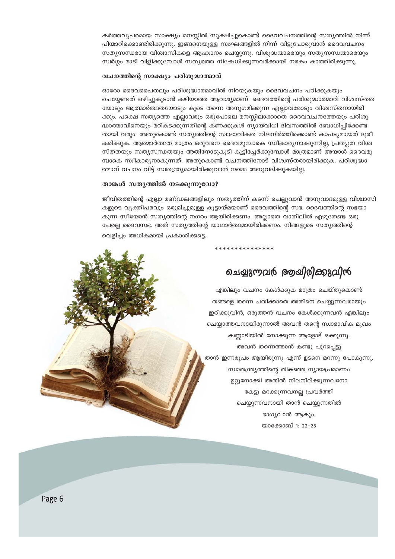കർത്തവ്യപരമായ സാക്ഷ്യം മനസ്സിൽ സൂക്ഷിച്ചുകൊണ്ട് ദൈവവചനത്തിന്റെ സത്യത്തിൽ നിന്ന് പിന്മാറിക്കൊണ്ടിരിക്കുന്നു. ഇങ്ങനെയുള്ള സംഘങ്ങളിൽ നിന്ന് വിട്ടുപോരുവാൻ ദൈവവചനം സത്യസന്ധരായ വിശ്വാസികളെ ആഹ്വാനം ചെയ്യുന്നു. വിശുദ്ധന്മാരെയും സത്യസന്ധന്മാരെയും സ്വർഗ്ഗം മാടി വിളിക്കുമ്പോൾ സത്യത്തെ നിഷേധിക്കുന്നവർക്കായി നരകം കാത്തിരിക്കുന്നു.

#### വചനത്തിന്റെ സാക്ഷ്യം പരിശുദ്ധാത്മാവ്

ഓരോ ദൈവപൈതലും പരിശുദ്ധാത്മാവിൽ നിറയുകയും ദൈവവചനം പഠിക്കുകയും ചെയ്യേണ്ടത് ഒഴിച്ചുകൂടാൻ കഴിയാത്ത ആവശ്യമാണ്. ദൈവത്തിന്റെ പരിശുദ്ധാത്മാവ് വിശ്വസ്തത യോടും ആത്മാർത്ഥതയോടും കൂടെ തന്നെ അനുഗമിക്കുന്ന എല്ലാവരോടും വിശ്വസ്തനായിരി ക്കും. പക്ഷെ സത്യത്തെ എല്ലാവരും ഒരുപോലെ മനസ്സിലാക്കാതെ ദൈവവചനത്തേയും പരിശു ദ്ധാത്മാവിനെയും മറികടക്കുന്നതിന്റെ കണക്കുകൾ ന്യായവിധി ദിവസത്തിൽ ബോധിപ്പിക്കേണ്ട തായി വരും. അതുകൊണ്ട് സത്യത്തിന്റെ സ്വാഭാവികത നിലനിർത്തിക്കൊണ്ട് കാപട്യമായത് ദൂരീ കരിക്കുക. ആത്മാർത്ഥത മാത്രം ഒരുവനെ ദൈവമുമ്പാകെ സ്ഥീകാര്യനാക്കുന്നില്ല, പ്രത്യുത വിശ്വ സ്തതയും സതൃസന്ധതയും അതിനോടുകൂടി കൂട്ടിച്ചേർക്കുമ്പോൾ മാത്രമാണ് അയാൾ ദൈവമു മ്പാകെ സ്വീകാര്യനാകുന്നത്. അതുകൊണ്ട് വചനത്തിനോട് വിശ്വസ്തരായിരിക്കുക. പരിശുദ്ധാ ത്മാവ് വചനം വിട്ട് സ്വതന്ത്ര്യമായിരിക്കുവാൻ നമ്മെ അനുവദിക്കുകയില്ല.

#### താങ്കൾ സത്യത്തിൽ നടക്കുന്നുവോ?

ജീവിതത്തിന്റെ എല്ലാ മണ്ഡലങ്ങളിലും സത്യത്തിന് കടന്ന് ചെല്ലുവാൻ അനുവാദമുള്ള വിശ്വാസി കളുടെ വ്യക്തിപരവും ഒരുമിച്ചുമുള്ള കൂട്ടായ്മയാണ് ദൈവത്തിന്റെ സഭ. ദൈവത്തിന്റെ സഭയാ കുന്ന സീയോൻ സത്യത്തിന്റെ നഗരം ആയിരിക്കണം. അല്ലാതെ വാതിലിൽ എഴുതേണ്ട ഒരു പേരല്ല ദൈവസഭ. അത് സത്യത്തിന്റെ യാഥാർത്ഥമായിരിക്കണം. നിങ്ങളുടെ സത്യത്തിന്റെ വെളിച്ചം അധികമായി പ്രകാശിക്കട്ടെ.

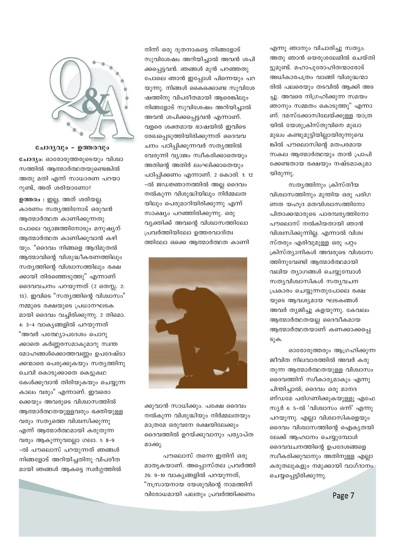

#### ചോദൃവും - ഉത്തരവും

ചോദ്യം: ഓരോരുത്തരുടെയും വിശ്വാ സത്തിൽ ആത്മാർത്ഥതയുണ്ടെങ്കിൽ അതു മതി എന്ന് സാധാരണ പറയാ റുണ്ട്, അത് ശരിയാണോ?

ഉത്തരം : ഇല്ല, അത് ശരിയല്ല. കാരണം സത്യത്തിനോട് ഒരുവൻ ആത്മാർത്ഥത കാണിക്കുന്നതു പോലെ വ്യാജത്തിനോടും മനുഷ്യന് ആത്മാർത്ഥത കാണിക്കുവാൻ കഴി യും. "ദൈവം നിങ്ങളെ ആദിമുതൽ ആത്മാവിന്റെ വിശുദ്ധീകരണത്തിലും സത്യത്തിന്റെ വിശ്വാസത്തിലും രക്ഷ ക്കായി തിരഞ്ഞെടുത്തു" എന്നാണ് ദൈവവചനം പറയുന്നത് (2 തെസ്സ. 2: 13). ഇവിടെ "സത്യത്തിന്റെ വിശ്വാസം" നമ്മുടെ രക്ഷയുടെ പ്രധാനഘടക മായി ദൈവം വച്ചിരിക്കുന്നു. 2 തിമൊ. 4: 3-4 വാകൃങ്ങളിൽ പറയുന്നത് "അവർ പതേഥ്യാപദേശം പൊറു ക്കാതെ കർണ്ണരസമാകുമാറു സ്വന്ത മോഹങ്ങൾക്കൊത്തവണ്ണം ഉപദേഷ്ടാ ക്കന്മാരെ പെരുക്കുകയും സതൃത്തിനു ചെവി കൊടുക്കാതെ കെട്ടുകഥ കേൾക്കുവാൻ തിരിയുകയും ചെയ്യുന്ന കാലം വരും" എന്നാണ്. ഇവരൊ ക്കെയും അവരുടെ വിശ്വാസത്തിൽ ആത്മാർത്ഥതയുള്ളവരും ഭക്തിയുള്ള വരും സത്യത്തെ വിശ്വസിക്കുന്നു എന്ന് ആത്മാർത്ഥമായി കരുതുന്ന വരും ആകുന്നുവല്ലോ ഗലാ. 1: 8-9 -ൽ പൗലൊസ് പറയുന്നത് ഞങ്ങൾ നിങ്ങളോട് അറിയിച്ചതിനു വിപരീത മായി ഞങ്ങൾ ആകട്ടെ സ്വർഗ്ഗത്തിൽ

നിന്ന് ഒരു ദൂതനാകട്ടെ നിങ്ങളോട് സുവിശേഷം അറിയിച്ചാൽ അവൻ ശപി ക്കപ്പെട്ടവൻ. ഞങ്ങൾ മുൻ പറഞ്ഞതു പോലെ ഞാൻ ഇപ്പോൾ പിന്നെയും പറ യുന്നു. നിങ്ങൾ കൈക്കൊണ്ട സുവിശേ ഷത്തിനു വിപരീതമായി ആരെങ്കിലും നിങ്ങളോട് സുവിശേഷം അറിയിച്ചാൽ അവൻ ശപിക്കപ്പെട്ടവൻ എന്നാണ്. വളരെ ശക്തമായ ഭാഷയിൽ ഇവിടെ രേഖപ്പെടുത്തിയിരിക്കുന്നത് ദൈവവ ചനം പഠിപ്പിക്കുന്നവർ സത്യത്തിൽ വേരുന്നി വ്യാജം സ്വീകരിക്കാതെയും അതിന്റെ അതിർ ലംഘിക്കാതെയും പഠിപ്പിക്കണം എന്നാണ്. 2 കൊരി. 1: 12 -ൽ ജഡജ്ഞാനത്തിൽ അല്ല ദൈവം നൽകുന്ന വിശുദ്ധിയിലും നിർമ്മലത യിലും പെരുമാറിയിരിക്കുന്നു എന്ന് സാക്ഷ്യം പറഞ്ഞിരിക്കുന്നു. ഒരു വ്യക്തിക്ക് അവന്റെ വിശ്വാസത്തിലോ പ്രവർത്തിയിലോ ഉത്തരവാദിത്വ ത്തിലോ ഒക്കെ ആത്മാർത്ഥത കാണി



ക്കുവാൻ സാധിക്കും. പക്ഷേ ദൈവം നൽകുന്ന വിശുദ്ധിയും നിർമ്മലതയും മാത്രമേ ഒരുവനേ രക്ഷയിലേക്കും ദൈവത്തിൽ ഉറയ്ക്കുവാനും പര്യാപ്ത മാക്കൂ.

പൗലൊസ് തന്നെ ഇതിന് ഒരു മാതൃകയാണ്. അപ്പൊസ്തല പ്രവർത്തി 26: 9-10 വാകൃങ്ങളിൽ പറയുന്നത്, "നസ്രായനായ യേശുവിന്റെ നാമത്തിന് വിരോധമായി പലതും പ്രവർത്തിക്കണം

എന്നു ഞാനും വിചാരിച്ചു സത്യം. അതു ഞാൻ യെരുശലേമിൽ ചെയ്തി ട്ടുമുണ്ട്. മഹാപുരോഹിതന്മാരോട് അധികാരപത്രം വാങ്ങി വിശുദ്ധന്മാ രിൽ പലരെയും തടവിൽ ആക്കി അട ച്ചു. അവരെ നിഗ്രഹിക്കുന്ന സമയം ഞാനും സമ്മതം കൊടുത്തു" എന്നാ ണ്. ദമസ്ക്കോസിലേയ്ക്കുള്ള യാത്ര യിൽ യേശുക്രിസ്തുവിനെ മുഖാ മുഖം കണ്ടുമുട്ടിയില്ലായിരുന്നുവെ ങ്കിൽ പൗലൊസിന്റെ മതപരമായ സകല ആത്മാർത്ഥയും താൻ പ്രാപി ക്കേണ്ടതായ രക്ഷയും നഷ്ടമാകുമാ യിരുന്നു.

സതൃത്തിനും ക്രിസ്തീയ വിശ്വാസത്തിനും മുന്തിയ ഒരു പരിഗ ണത യഹുദ മതവിശ്വാസത്തിനോ പിതാക്കന്മാരുടെ പാരമ്പര്യത്തിനോ പൗലൊസ് നൽകിയതായി ഞാൻ വിശ്വസിക്കുന്നില്ല. എന്നാൽ വിശ്വ സ്തരും എരിവുമുള്ള ഒരു പറ്റം ക്രിസ്ത്യാനികൾ അവരുടെ വിശ്വാസ ത്തിനുവേണ്ടി ആത്മാർത്ഥമായി വലിയ ത്യാഗങ്ങൾ ചെയ്യുമ്പോൾ സത്യവിശ്വാസികൾ സത്യവചന പ്രകാരം ചെയ്യുന്നതുപോലെ രക്ഷ യുടെ ആവശ്യമായ ഘടകങ്ങൾ അവർ ത്യജിച്ചു കളയുന്നു. കേവലം ആത്മാർത്ഥതയല്ല ദൈവീകമായ ആത്മാർത്ഥതയാണ് കണക്കാക്കപ്പെ ട്ടുക.

ഓരോരുത്തരും ആഗ്രഹിക്കുന്ന ജീവിത നിലവാരത്തിൽ അവർ കരു തുന്ന ആത്മാർത്ഥതയുള്ള വിശ്വാസം ദൈവത്തിന് സ്വീകാര്യമാകും എന്നു ചിന്തിച്ചാൽ; ദൈവം ഒരു മാനദ ണ്ഡമേ പരിഗണിക്കുകയുള്ളു എഫേ സ്യർ 4: 5–ൽ 'വിശ്വാസം ഒന്ന്' എന്നു പറയുന്നു. എല്ലാ വിശ്വാസികളെയും ദൈവം വിശ്വാസത്തിന്റെ ഐക്യതയി ലേക്ക് ആഹ്വാനം ചെയ്യുമ്പോൾ ദൈവവചനത്തിന്റെ ഉപദേശങ്ങളെ സ്വീകരിക്കുവാനും അതിനുള്ള എല്ലാ കരുതലുകളും നമുക്കായി വാഗ്ദാനം ചെയ്യപ്പെട്ടിരിക്കുന്നു.

Page 7